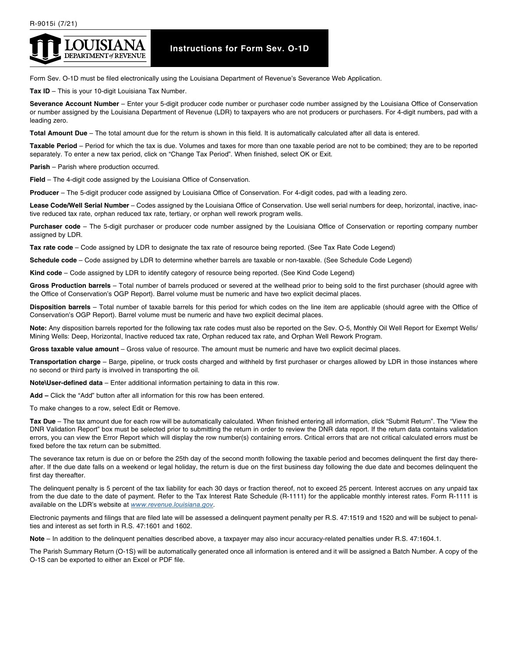

## **Instructions for Form Sev. O-1D**

Form Sev. O-1D must be filed electronically using the Louisiana Department of Revenue's Severance Web Application.

**Tax ID** – This is your 10-digit Louisiana Tax Number.

**Severance Account Number** – Enter your 5-digit producer code number or purchaser code number assigned by the Louisiana Office of Conservation or number assigned by the Louisiana Department of Revenue (LDR) to taxpayers who are not producers or purchasers. For 4-digit numbers, pad with a leading zero.

**Total Amount Due** – The total amount due for the return is shown in this field. It is automatically calculated after all data is entered.

**Taxable Period** – Period for which the tax is due. Volumes and taxes for more than one taxable period are not to be combined; they are to be reported separately. To enter a new tax period, click on "Change Tax Period". When finished, select OK or Exit.

**Parish** – Parish where production occurred.

**Field** – The 4-digit code assigned by the Louisiana Office of Conservation.

**Producer** – The 5-digit producer code assigned by Louisiana Office of Conservation. For 4-digit codes, pad with a leading zero.

**Lease Code/Well Serial Number** – Codes assigned by the Louisiana Office of Conservation. Use well serial numbers for deep, horizontal, inactive, inactive reduced tax rate, orphan reduced tax rate, tertiary, or orphan well rework program wells.

**Purchaser code** – The 5-digit purchaser or producer code number assigned by the Louisiana Office of Conservation or reporting company number assigned by LDR.

**Tax rate code** – Code assigned by LDR to designate the tax rate of resource being reported. (See Tax Rate Code Legend)

**Schedule code** – Code assigned by LDR to determine whether barrels are taxable or non-taxable. (See Schedule Code Legend)

**Kind code** – Code assigned by LDR to identify category of resource being reported. (See Kind Code Legend)

**Gross Production barrels** – Total number of barrels produced or severed at the wellhead prior to being sold to the first purchaser (should agree with the Office of Conservation's OGP Report). Barrel volume must be numeric and have two explicit decimal places.

**Disposition barrels** – Total number of taxable barrels for this period for which codes on the line item are applicable (should agree with the Office of Conservation's OGP Report). Barrel volume must be numeric and have two explicit decimal places.

**Note:** Any disposition barrels reported for the following tax rate codes must also be reported on the Sev. O-5, Monthly Oil Well Report for Exempt Wells/ Mining Wells: Deep, Horizontal, Inactive reduced tax rate, Orphan reduced tax rate, and Orphan Well Rework Program.

**Gross taxable value amount** – Gross value of resource. The amount must be numeric and have two explicit decimal places.

**Transportation charge** – Barge, pipeline, or truck costs charged and withheld by first purchaser or charges allowed by LDR in those instances where no second or third party is involved in transporting the oil.

**Note\User-defined data** – Enter additional information pertaining to data in this row.

**Add –** Click the "Add" button after all information for this row has been entered.

To make changes to a row, select Edit or Remove.

**Tax Due** – The tax amount due for each row will be automatically calculated. When finished entering all information, click "Submit Return". The "View the DNR Validation Report" box must be selected prior to submitting the return in order to review the DNR data report. If the return data contains validation errors, you can view the Error Report which will display the row number(s) containing errors. Critical errors that are not critical calculated errors must be fixed before the tax return can be submitted.

The severance tax return is due on or before the 25th day of the second month following the taxable period and becomes delinquent the first day thereafter. If the due date falls on a weekend or legal holiday, the return is due on the first business day following the due date and becomes delinquent the first day thereafter.

The delinquent penalty is 5 percent of the tax liability for each 30 days or fraction thereof, not to exceed 25 percent. Interest accrues on any unpaid tax from the due date to the date of payment. Refer to the Tax Interest Rate Schedule (R-1111) for the applicable monthly interest rates. Form R-1111 is available on the LDR's website at *[www.revenue.louisiana.gov](mailto:www.revenue.louisiana.gov?subject=)*.

Electronic payments and filings that are filed late will be assessed a delinquent payment penalty per R.S. 47:1519 and 1520 and will be subject to penalties and interest as set forth in R.S. 47:1601 and 1602.

**Note** – In addition to the delinquent penalties described above, a taxpayer may also incur accuracy-related penalties under R.S. 47:1604.1.

The Parish Summary Return (O-1S) will be automatically generated once all information is entered and it will be assigned a Batch Number. A copy of the O-1S can be exported to either an Excel or PDF file.